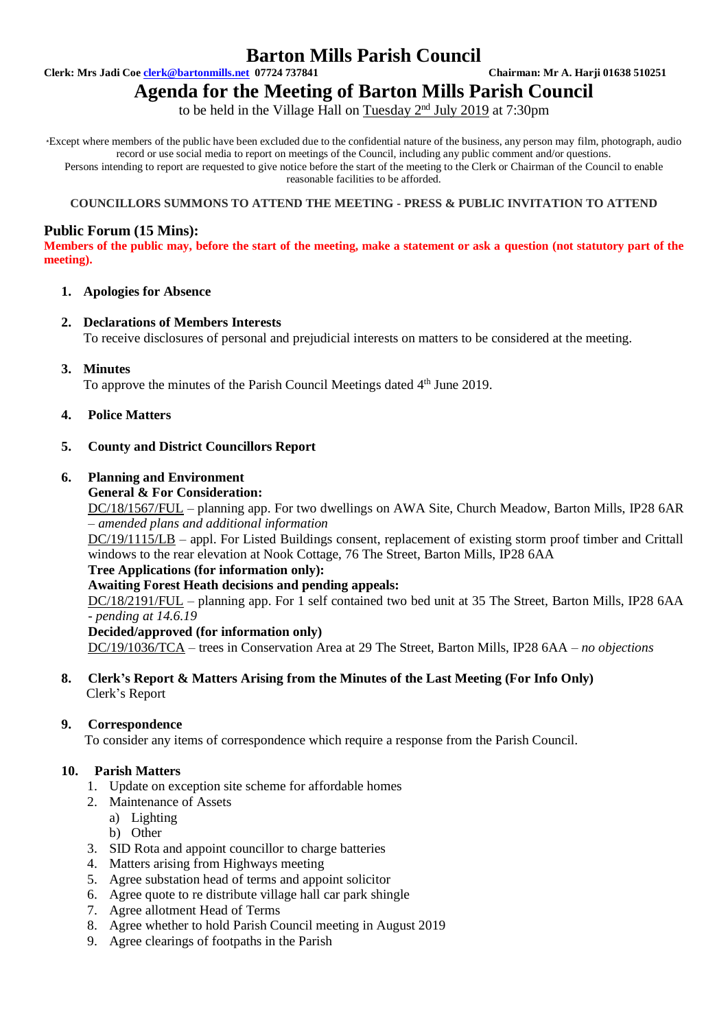## **Barton Mills Parish Council**

**Clerk: Mrs Jadi Coe [clerk@bartonmills.net](mailto:clerk@bartonmills.net) 07724 737841 Chairman: Mr A. Harji 01638 510251**

# **Agenda for the Meeting of Barton Mills Parish Council**

to be held in the Village Hall on Tuesday 2<sup>nd</sup> July 2019 at 7:30pm

\*Except where members of the public have been excluded due to the confidential nature of the business, any person may film, photograph, audio record or use social media to report on meetings of the Council, including any public comment and/or questions. Persons intending to report are requested to give notice before the start of the meeting to the Clerk or Chairman of the Council to enable reasonable facilities to be afforded.

#### **COUNCILLORS SUMMONS TO ATTEND THE MEETING - PRESS & PUBLIC INVITATION TO ATTEND**

## **Public Forum (15 Mins):**

**Members of the public may, before the start of the meeting, make a statement or ask a question (not statutory part of the meeting).**

#### **1. Apologies for Absence**

#### **2. Declarations of Members Interests**

To receive disclosures of personal and prejudicial interests on matters to be considered at the meeting.

**3. Minutes**

To approve the minutes of the Parish Council Meetings dated 4<sup>th</sup> June 2019.

## **4. Police Matters**

## **5. County and District Councillors Report**

## **6. Planning and Environment**

#### **General & For Consideration:**

DC/18/1567/FUL – planning app. For two dwellings on AWA Site, Church Meadow, Barton Mills, IP28 6AR *– amended plans and additional information*

DC/19/1115/LB – appl. For Listed Buildings consent, replacement of existing storm proof timber and Crittall windows to the rear elevation at Nook Cottage, 76 The Street, Barton Mills, IP28 6AA

#### **Tree Applications (for information only):**

#### **Awaiting Forest Heath decisions and pending appeals:**

DC/18/2191/FUL – planning app. For 1 self contained two bed unit at 35 The Street, Barton Mills, IP28 6AA *- pending at 14.6.19*

#### **Decided/approved (for information only)**

DC/19/1036/TCA – trees in Conservation Area at 29 The Street, Barton Mills, IP28 6AA – *no objections*

#### **8. Clerk's Report & Matters Arising from the Minutes of the Last Meeting (For Info Only)** Clerk's Report

#### **9. Correspondence**

To consider any items of correspondence which require a response from the Parish Council.

## **10. Parish Matters**

- 1. Update on exception site scheme for affordable homes
- 2. Maintenance of Assets
	- a) Lighting
	- b) Other
- 3. SID Rota and appoint councillor to charge batteries
- 4. Matters arising from Highways meeting
- 5. Agree substation head of terms and appoint solicitor
- 6. Agree quote to re distribute village hall car park shingle
- 7. Agree allotment Head of Terms
- 8. Agree whether to hold Parish Council meeting in August 2019
- 9. Agree clearings of footpaths in the Parish